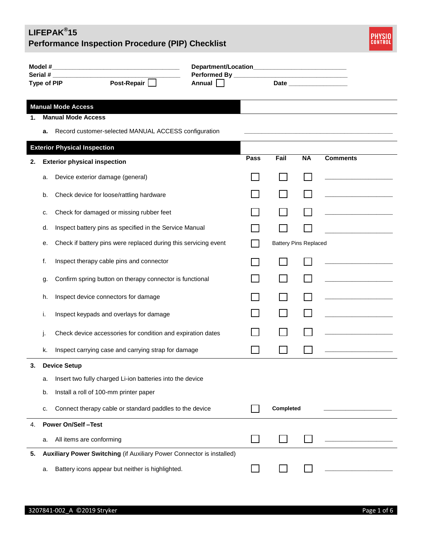

| Model #<br><u> 1980 - Johann John Stone, mars eta biztanleria (h. 1980).</u> |                                     |                                                                       |        |      |           |                              |                                              |
|------------------------------------------------------------------------------|-------------------------------------|-----------------------------------------------------------------------|--------|------|-----------|------------------------------|----------------------------------------------|
|                                                                              | Serial #<br>Type of PIP             | Post-Repair                                                           | Annual |      |           |                              | Date <b>Date</b>                             |
|                                                                              |                                     |                                                                       |        |      |           |                              |                                              |
|                                                                              |                                     | <b>Manual Mode Access</b>                                             |        |      |           |                              |                                              |
| 1.                                                                           |                                     | <b>Manual Mode Access</b>                                             |        |      |           |                              |                                              |
|                                                                              | а.                                  | Record customer-selected MANUAL ACCESS configuration                  |        |      |           |                              |                                              |
|                                                                              | <b>Exterior Physical Inspection</b> |                                                                       |        |      |           |                              |                                              |
| 2.                                                                           |                                     | <b>Exterior physical inspection</b>                                   |        | Pass | Fail      | <b>NA</b>                    | <b>Comments</b>                              |
|                                                                              | a.                                  | Device exterior damage (general)                                      |        |      |           |                              |                                              |
|                                                                              | b.                                  | Check device for loose/rattling hardware                              |        |      |           |                              |                                              |
|                                                                              | c.                                  | Check for damaged or missing rubber feet                              |        |      |           |                              |                                              |
|                                                                              | d.                                  | Inspect battery pins as specified in the Service Manual               |        |      |           |                              |                                              |
|                                                                              | е.                                  | Check if battery pins were replaced during this servicing event       |        |      |           | <b>Battery Pins Replaced</b> |                                              |
|                                                                              | f.                                  | Inspect therapy cable pins and connector                              |        |      |           |                              |                                              |
|                                                                              | g.                                  | Confirm spring button on therapy connector is functional              |        |      |           |                              |                                              |
|                                                                              | h.                                  | Inspect device connectors for damage                                  |        |      |           |                              | the control of the control of the control of |
|                                                                              | ı.                                  | Inspect keypads and overlays for damage                               |        |      |           |                              |                                              |
|                                                                              |                                     | Check device accessories for condition and expiration dates           |        |      |           |                              |                                              |
|                                                                              | k.                                  | Inspect carrying case and carrying strap for damage                   |        |      |           |                              |                                              |
| 3.                                                                           |                                     | <b>Device Setup</b>                                                   |        |      |           |                              |                                              |
|                                                                              | a.                                  | Insert two fully charged Li-ion batteries into the device             |        |      |           |                              |                                              |
|                                                                              | b.                                  | Install a roll of 100-mm printer paper                                |        |      |           |                              |                                              |
|                                                                              | c.                                  | Connect therapy cable or standard paddles to the device               |        |      | Completed |                              |                                              |
| 4.                                                                           |                                     | <b>Power On/Self-Test</b>                                             |        |      |           |                              |                                              |
|                                                                              | a.                                  | All items are conforming                                              |        |      |           |                              |                                              |
| 5.                                                                           |                                     | Auxiliary Power Switching (if Auxiliary Power Connector is installed) |        |      |           |                              |                                              |
|                                                                              | a.                                  | Battery icons appear but neither is highlighted.                      |        |      |           |                              |                                              |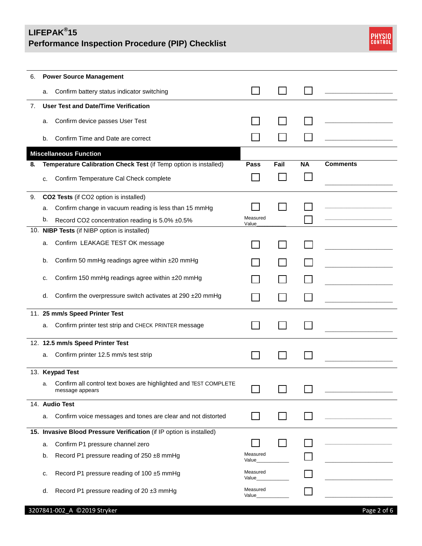

| 6. | <b>Power Source Management</b> |                                                                                     |                   |      |           |                 |  |
|----|--------------------------------|-------------------------------------------------------------------------------------|-------------------|------|-----------|-----------------|--|
|    | a.                             | Confirm battery status indicator switching                                          |                   |      |           |                 |  |
| 7. |                                | <b>User Test and Date/Time Verification</b>                                         |                   |      |           |                 |  |
|    | a.                             | Confirm device passes User Test                                                     |                   |      |           |                 |  |
|    | b.                             | Confirm Time and Date are correct                                                   |                   |      |           |                 |  |
|    |                                | <b>Miscellaneous Function</b>                                                       |                   |      |           |                 |  |
| 8. |                                | Temperature Calibration Check Test (if Temp option is installed)                    | Pass              | Fail | <b>NA</b> | <b>Comments</b> |  |
|    | c.                             | Confirm Temperature Cal Check complete                                              |                   |      |           |                 |  |
| 9. |                                | CO2 Tests (if CO2 option is installed)                                              |                   |      |           |                 |  |
|    | a.                             | Confirm change in vacuum reading is less than 15 mmHg                               |                   |      |           |                 |  |
|    | b.                             | Record CO2 concentration reading is 5.0% ±0.5%                                      | Measured<br>Value |      |           |                 |  |
|    |                                | 10. NIBP Tests (if NIBP option is installed)                                        |                   |      |           |                 |  |
|    | a.                             | Confirm LEAKAGE TEST OK message                                                     |                   |      |           |                 |  |
|    | b.                             | Confirm 50 mmHg readings agree within ±20 mmHg                                      |                   |      |           |                 |  |
|    | c.                             | Confirm 150 mmHg readings agree within ±20 mmHg                                     |                   |      |           |                 |  |
|    | d.                             | Confirm the overpressure switch activates at 290 ±20 mmHg                           |                   |      |           |                 |  |
|    |                                | 11. 25 mm/s Speed Printer Test                                                      |                   |      |           |                 |  |
|    | a.                             | Confirm printer test strip and CHECK PRINTER message                                |                   |      |           |                 |  |
|    |                                | 12. 12.5 mm/s Speed Printer Test                                                    |                   |      |           |                 |  |
|    | a.                             | Confirm printer 12.5 mm/s test strip                                                |                   |      |           |                 |  |
|    |                                | 13. Keypad Test                                                                     |                   |      |           |                 |  |
|    | а.                             | Confirm all control text boxes are highlighted and TEST COMPLETE<br>message appears |                   |      |           |                 |  |
|    |                                | 14. Audio Test                                                                      |                   |      |           |                 |  |
|    | a.                             | Confirm voice messages and tones are clear and not distorted                        |                   |      |           |                 |  |
|    |                                | 15. Invasive Blood Pressure Verification (if IP option is installed)                |                   |      |           |                 |  |
|    | a.                             | Confirm P1 pressure channel zero                                                    |                   |      |           |                 |  |
|    | b.                             | Record P1 pressure reading of 250 ±8 mmHg                                           | Measured<br>Value |      |           |                 |  |
|    | c.                             | Record P1 pressure reading of 100 ±5 mmHg                                           | Measured<br>Value |      |           |                 |  |
|    | d.                             | Record P1 pressure reading of 20 ±3 mmHg                                            | Measured<br>Value |      |           |                 |  |
|    |                                | 3207841-002_A ©2019 Stryker                                                         |                   |      |           | Page 2 of 6     |  |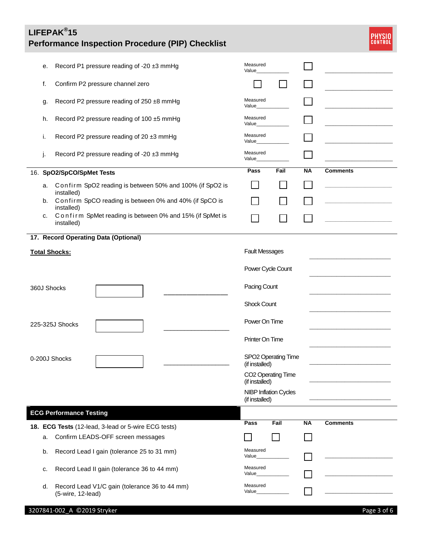

|                 | е. | Record P1 pressure reading of -20 ±3 mmHg                              | Measured<br>Value     |                              |           |                 |  |
|-----------------|----|------------------------------------------------------------------------|-----------------------|------------------------------|-----------|-----------------|--|
|                 | f. | Confirm P2 pressure channel zero                                       |                       |                              |           |                 |  |
|                 | g. | Record P2 pressure reading of 250 ±8 mmHg                              | Measured<br>Value     |                              |           |                 |  |
|                 | h. | Record P2 pressure reading of 100 ±5 mmHg                              | Measured<br>Value     |                              |           |                 |  |
|                 | Τ. | Record P2 pressure reading of 20 ±3 mmHg                               | Measured<br>Value     |                              |           |                 |  |
|                 | J. | Record P2 pressure reading of -20 ±3 mmHg                              | Measured<br>Value_    |                              |           |                 |  |
|                 |    | 16. SpO2/SpCO/SpMet Tests                                              | Pass                  | Fail                         | <b>NA</b> | <b>Comments</b> |  |
|                 | a. | Confirm SpO2 reading is between 50% and 100% (if SpO2 is<br>installed) |                       |                              |           |                 |  |
|                 | b. | Confirm SpCO reading is between 0% and 40% (if SpCO is<br>installed)   |                       |                              |           |                 |  |
|                 | c. | Confirm SpMet reading is between 0% and 15% (if SpMet is<br>installed) |                       |                              |           |                 |  |
|                 |    | 17. Record Operating Data (Optional)                                   |                       |                              |           |                 |  |
|                 |    | <b>Total Shocks:</b>                                                   | <b>Fault Messages</b> |                              |           |                 |  |
|                 |    |                                                                        | Power Cycle Count     |                              |           |                 |  |
| 360J Shocks     |    | Pacing Count                                                           |                       |                              |           |                 |  |
|                 |    |                                                                        | <b>Shock Count</b>    |                              |           |                 |  |
| 225-325J Shocks |    |                                                                        | Power On Time         |                              |           |                 |  |
|                 |    |                                                                        | Printer On Time       |                              |           |                 |  |
| 0-200J Shocks   |    |                                                                        | (if installed)        | SPO2 Operating Time          |           |                 |  |
|                 |    |                                                                        | (if installed)        | CO2 Operating Time           |           |                 |  |
|                 |    |                                                                        | (if installed)        | <b>NIBP Inflation Cycles</b> |           |                 |  |
|                 |    | <b>ECG Performance Testing</b>                                         |                       |                              |           |                 |  |
|                 |    | 18. ECG Tests (12-lead, 3-lead or 5-wire ECG tests)                    | Pass                  | Fail                         | ΝA        | <b>Comments</b> |  |
|                 | a. | Confirm LEADS-OFF screen messages                                      |                       |                              |           |                 |  |
|                 | b. | Record Lead I gain (tolerance 25 to 31 mm)                             | Measured<br>Value_    |                              |           |                 |  |
|                 | c. | Record Lead II gain (tolerance 36 to 44 mm)                            | Measured<br>Value_    |                              |           |                 |  |
|                 | d. | Record Lead V1/C gain (tolerance 36 to 44 mm)<br>(5-wire, 12-lead)     | Measured<br>Value     |                              |           |                 |  |

#### 3207841-002\_A ©2019 Stryker Page 3 of 6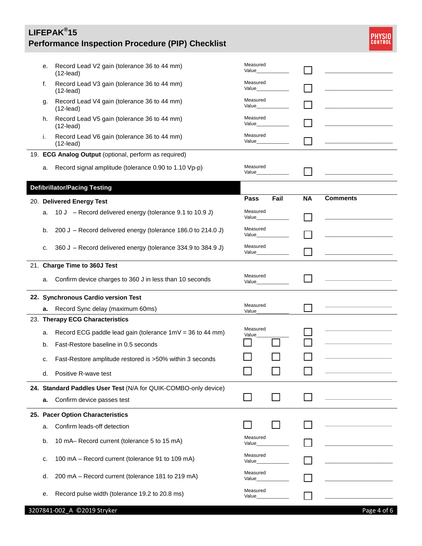

| е. | Record Lead V2 gain (tolerance 36 to 44 mm)<br>$(12$ -lead)     | Measured<br>Value_ |           |                 |
|----|-----------------------------------------------------------------|--------------------|-----------|-----------------|
| f. | Record Lead V3 gain (tolerance 36 to 44 mm)<br>$(12$ -lead)     | Measured<br>Value_ |           |                 |
| g. | Record Lead V4 gain (tolerance 36 to 44 mm)<br>$(12$ -lead)     | Measured<br>Value  |           |                 |
| h. | Record Lead V5 gain (tolerance 36 to 44 mm)<br>$(12$ -lead)     | Measured<br>Value  |           |                 |
| i. | Record Lead V6 gain (tolerance 36 to 44 mm)<br>$(12$ -lead)     | Measured<br>Value_ |           |                 |
|    | 19. ECG Analog Output (optional, perform as required)           |                    |           |                 |
|    |                                                                 |                    |           |                 |
| a. | Record signal amplitude (tolerance 0.90 to 1.10 Vp-p)           | Measured<br>Value  |           |                 |
|    |                                                                 |                    |           |                 |
|    | <b>Defibrillator/Pacing Testing</b>                             | Fail               | <b>NA</b> | <b>Comments</b> |
|    | 20. Delivered Energy Test                                       | Pass               |           |                 |
| a. | 10 J – Record delivered energy (tolerance 9.1 to 10.9 J)        | Measured<br>Value_ |           |                 |
| b. | 200 J – Record delivered energy (tolerance 186.0 to 214.0 J)    | Measured<br>Value_ |           |                 |
| c. | 360 J – Record delivered energy (tolerance 334.9 to 384.9 J)    | Measured<br>Value_ |           |                 |
|    | 21. Charge Time to 360J Test                                    |                    |           |                 |
| a. | Confirm device charges to 360 J in less than 10 seconds         | Measured<br>Value  |           |                 |
|    | 22. Synchronous Cardio version Test                             |                    |           |                 |
| a. | Record Sync delay (maximum 60ms)                                | Measured           |           |                 |
|    | 23. Therapy ECG Characteristics                                 | Value              |           |                 |
|    |                                                                 | Measured           |           |                 |
| a. | Record ECG paddle lead gain (tolerance $1mV = 36$ to 44 mm)     | Value              |           |                 |
| b. | Fast-Restore baseline in 0.5 seconds                            |                    |           |                 |
| c. | Fast-Restore amplitude restored is >50% within 3 seconds        |                    |           |                 |
| d. | Positive R-wave test                                            |                    |           |                 |
|    | 24. Standard Paddles User Test (N/A for QUIK-COMBO-only device) |                    |           |                 |
| а. | Confirm device passes test                                      |                    |           |                 |
|    | 25. Pacer Option Characteristics                                |                    |           |                 |
| a. | Confirm leads-off detection                                     |                    |           |                 |
| b. | 10 mA- Record current (tolerance 5 to 15 mA)                    | Measured<br>Value_ |           |                 |
| c. | 100 mA - Record current (tolerance 91 to 109 mA)                | Measured<br>Value_ |           |                 |
| d. | 200 mA - Record current (tolerance 181 to 219 mA)               | Measured<br>Value_ |           |                 |
| е. | Record pulse width (tolerance 19.2 to 20.8 ms)                  | Measured<br>Value_ |           |                 |
|    | 3207841-002_A ©2019 Stryker                                     |                    |           | Page 4 of 6     |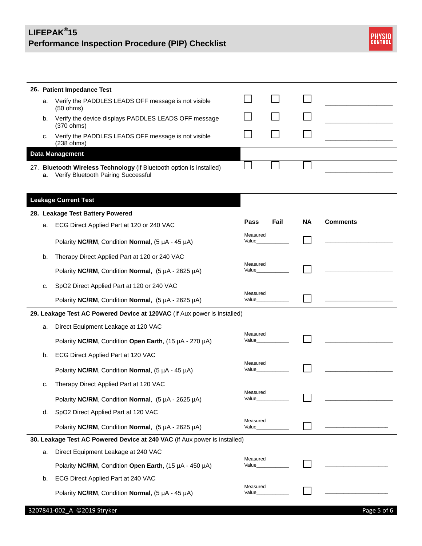

|    | 26. Patient Impedance Test                                                                                  |                    |      |           |                 |
|----|-------------------------------------------------------------------------------------------------------------|--------------------|------|-----------|-----------------|
| a. | Verify the PADDLES LEADS OFF message is not visible<br>(50 ohms)                                            |                    |      |           |                 |
| b. | Verify the device displays PADDLES LEADS OFF message                                                        |                    |      |           |                 |
| с. | (370 ohms)<br>Verify the PADDLES LEADS OFF message is not visible                                           |                    |      |           |                 |
|    | (238 ohms)                                                                                                  |                    |      |           |                 |
|    | <b>Data Management</b>                                                                                      |                    |      |           |                 |
| а. | 27. Bluetooth Wireless Technology (if Bluetooth option is installed)<br>Verify Bluetooth Pairing Successful |                    |      |           |                 |
|    | <b>Leakage Current Test</b>                                                                                 |                    |      |           |                 |
|    | 28. Leakage Test Battery Powered                                                                            |                    |      |           |                 |
| a. | ECG Direct Applied Part at 120 or 240 VAC                                                                   | Pass               | Fail | <b>NA</b> | <b>Comments</b> |
|    | Polarity NC/RM, Condition Normal, (5 µA - 45 µA)                                                            | Measured<br>Value_ |      |           |                 |
| b. | Therapy Direct Applied Part at 120 or 240 VAC                                                               |                    |      |           |                 |
|    | Polarity NC/RM, Condition Normal, $(5 \mu A - 2625 \mu A)$                                                  | Measured<br>Value  |      |           |                 |
| c. | SpO2 Direct Applied Part at 120 or 240 VAC                                                                  | Measured           |      |           |                 |
|    | Polarity NC/RM, Condition Normal, (5 µA - 2625 µA)                                                          | Value_             |      |           |                 |
|    | 29. Leakage Test AC Powered Device at 120VAC (If Aux power is installed)                                    |                    |      |           |                 |
| a. | Direct Equipment Leakage at 120 VAC                                                                         | Measured           |      |           |                 |
|    | Polarity NC/RM, Condition Open Earth, (15 µA - 270 µA)                                                      | Value              |      |           |                 |
| b. | ECG Direct Applied Part at 120 VAC                                                                          |                    |      |           |                 |
|    | Polarity NC/RM, Condition Normal, (5 µA - 45 µA)                                                            | Measured<br>Value_ |      |           |                 |
| c. | Therapy Direct Applied Part at 120 VAC                                                                      | Measured<br>Value_ |      |           |                 |
|    | Polarity NC/RM, Condition Normal, (5 µA - 2625 µA)                                                          |                    |      |           |                 |
| d. | SpO2 Direct Applied Part at 120 VAC                                                                         |                    |      |           |                 |
|    | Polarity NC/RM, Condition Normal, (5 µA - 2625 µA)                                                          | Measured<br>Value_ |      |           |                 |
|    | 30. Leakage Test AC Powered Device at 240 VAC (if Aux power is installed)                                   |                    |      |           |                 |
| a. | Direct Equipment Leakage at 240 VAC                                                                         | Measured           |      |           |                 |
|    | Polarity NC/RM, Condition Open Earth, (15 µA - 450 µA)                                                      | Value_             |      |           |                 |
| b. | ECG Direct Applied Part at 240 VAC                                                                          |                    |      |           |                 |
|    | Polarity NC/RM, Condition Normal, (5 µA - 45 µA)                                                            | Measured<br>Value_ |      |           |                 |
|    | 3207841-002_A ©2019 Stryker                                                                                 |                    |      |           | Page 5 of 6     |